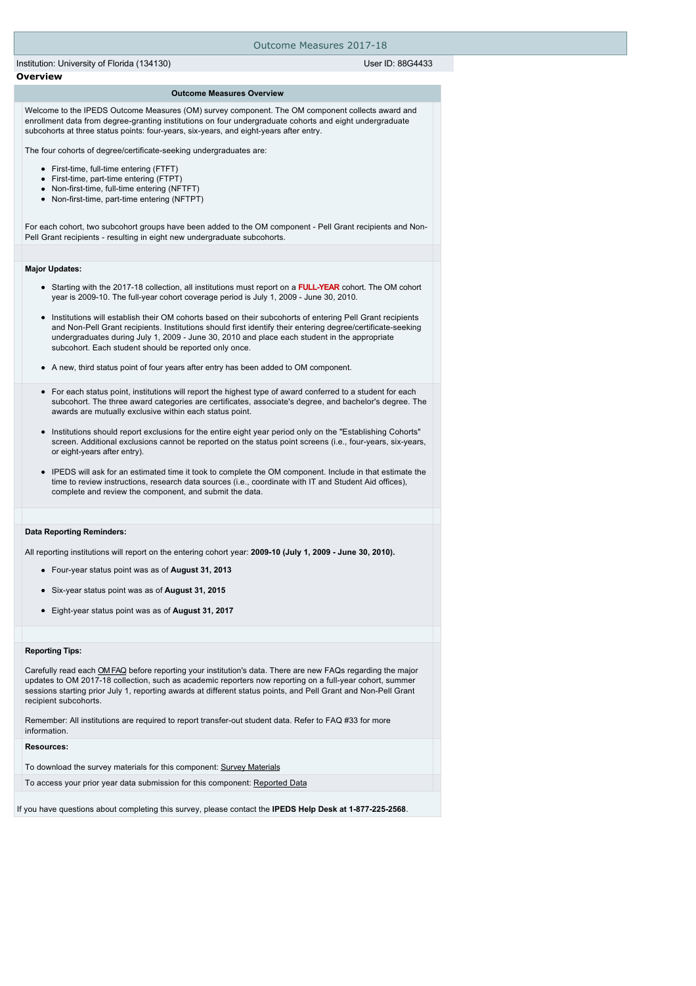| Outcome Measures 2017-18                                                                                                                                                                                                                                                                                                                                                                                                                                                                                                                                                                                                                                                                                                                                                                                                                                                                                                                                                                                                                                                                                                                                                                                                                                                                                                                                                                                                                                                                                                                            |  |
|-----------------------------------------------------------------------------------------------------------------------------------------------------------------------------------------------------------------------------------------------------------------------------------------------------------------------------------------------------------------------------------------------------------------------------------------------------------------------------------------------------------------------------------------------------------------------------------------------------------------------------------------------------------------------------------------------------------------------------------------------------------------------------------------------------------------------------------------------------------------------------------------------------------------------------------------------------------------------------------------------------------------------------------------------------------------------------------------------------------------------------------------------------------------------------------------------------------------------------------------------------------------------------------------------------------------------------------------------------------------------------------------------------------------------------------------------------------------------------------------------------------------------------------------------------|--|
| User ID: 88G4433<br>Institution: University of Florida (134130)                                                                                                                                                                                                                                                                                                                                                                                                                                                                                                                                                                                                                                                                                                                                                                                                                                                                                                                                                                                                                                                                                                                                                                                                                                                                                                                                                                                                                                                                                     |  |
| <b>Overview</b>                                                                                                                                                                                                                                                                                                                                                                                                                                                                                                                                                                                                                                                                                                                                                                                                                                                                                                                                                                                                                                                                                                                                                                                                                                                                                                                                                                                                                                                                                                                                     |  |
| <b>Outcome Measures Overview</b><br>Welcome to the IPEDS Outcome Measures (OM) survey component. The OM component collects award and<br>enrollment data from degree-granting institutions on four undergraduate cohorts and eight undergraduate<br>subcohorts at three status points: four-years, six-years, and eight-years after entry.<br>The four cohorts of degree/certificate-seeking undergraduates are:<br>• First-time, full-time entering (FTFT)<br>• First-time, part-time entering (FTPT)<br>• Non-first-time, full-time entering (NFTFT)<br>• Non-first-time, part-time entering (NFTPT)<br>For each cohort, two subcohort groups have been added to the OM component - Pell Grant recipients and Non-<br>Pell Grant recipients - resulting in eight new undergraduate subcohorts.                                                                                                                                                                                                                                                                                                                                                                                                                                                                                                                                                                                                                                                                                                                                                     |  |
|                                                                                                                                                                                                                                                                                                                                                                                                                                                                                                                                                                                                                                                                                                                                                                                                                                                                                                                                                                                                                                                                                                                                                                                                                                                                                                                                                                                                                                                                                                                                                     |  |
| <b>Major Updates:</b><br>• Starting with the 2017-18 collection, all institutions must report on a <b>FULL-YEAR</b> cohort. The OM cohort<br>year is 2009-10. The full-year cohort coverage period is July 1, 2009 - June 30, 2010.<br>• Institutions will establish their OM cohorts based on their subcohorts of entering Pell Grant recipients<br>and Non-Pell Grant recipients. Institutions should first identify their entering degree/certificate-seeking<br>undergraduates during July 1, 2009 - June 30, 2010 and place each student in the appropriate<br>subcohort. Each student should be reported only once.<br>• A new, third status point of four years after entry has been added to OM component.<br>• For each status point, institutions will report the highest type of award conferred to a student for each<br>subcohort. The three award categories are certificates, associate's degree, and bachelor's degree. The<br>awards are mutually exclusive within each status point.<br>Institutions should report exclusions for the entire eight year period only on the "Establishing Cohorts"<br>screen. Additional exclusions cannot be reported on the status point screens (i.e., four-years, six-years,<br>or eight-years after entry).<br>• IPEDS will ask for an estimated time it took to complete the OM component. Include in that estimate the<br>time to review instructions, research data sources (i.e., coordinate with IT and Student Aid offices),<br>complete and review the component, and submit the data. |  |
|                                                                                                                                                                                                                                                                                                                                                                                                                                                                                                                                                                                                                                                                                                                                                                                                                                                                                                                                                                                                                                                                                                                                                                                                                                                                                                                                                                                                                                                                                                                                                     |  |
| <b>Data Reporting Reminders:</b><br>All reporting institutions will report on the entering cohort year: 2009-10 (July 1, 2009 - June 30, 2010).<br>• Four-year status point was as of <b>August 31, 2013</b><br>• Six-year status point was as of <b>August 31, 2015</b><br>Eight-year status point was as of August 31, 2017<br>٠                                                                                                                                                                                                                                                                                                                                                                                                                                                                                                                                                                                                                                                                                                                                                                                                                                                                                                                                                                                                                                                                                                                                                                                                                  |  |
|                                                                                                                                                                                                                                                                                                                                                                                                                                                                                                                                                                                                                                                                                                                                                                                                                                                                                                                                                                                                                                                                                                                                                                                                                                                                                                                                                                                                                                                                                                                                                     |  |
| <b>Reporting Tips:</b><br>Carefully read each OMFAQ before reporting your institution's data. There are new FAQs regarding the major<br>updates to OM 2017-18 collection, such as academic reporters now reporting on a full-year cohort, summer<br>sessions starting prior July 1, reporting awards at different status points, and Pell Grant and Non-Pell Grant<br>recipient subcohorts.<br>Remember: All institutions are required to report transfer-out student data. Refer to FAQ #33 for more<br>information.                                                                                                                                                                                                                                                                                                                                                                                                                                                                                                                                                                                                                                                                                                                                                                                                                                                                                                                                                                                                                               |  |
| <b>Resources:</b>                                                                                                                                                                                                                                                                                                                                                                                                                                                                                                                                                                                                                                                                                                                                                                                                                                                                                                                                                                                                                                                                                                                                                                                                                                                                                                                                                                                                                                                                                                                                   |  |
| To download the survey materials for this component: Survey Materials                                                                                                                                                                                                                                                                                                                                                                                                                                                                                                                                                                                                                                                                                                                                                                                                                                                                                                                                                                                                                                                                                                                                                                                                                                                                                                                                                                                                                                                                               |  |
| To access your prior year data submission for this component: Reported Data                                                                                                                                                                                                                                                                                                                                                                                                                                                                                                                                                                                                                                                                                                                                                                                                                                                                                                                                                                                                                                                                                                                                                                                                                                                                                                                                                                                                                                                                         |  |
| If you have questions about completing this survey, please contact the <b>IPEDS Help Desk at 1-877-225-2568</b> .                                                                                                                                                                                                                                                                                                                                                                                                                                                                                                                                                                                                                                                                                                                                                                                                                                                                                                                                                                                                                                                                                                                                                                                                                                                                                                                                                                                                                                   |  |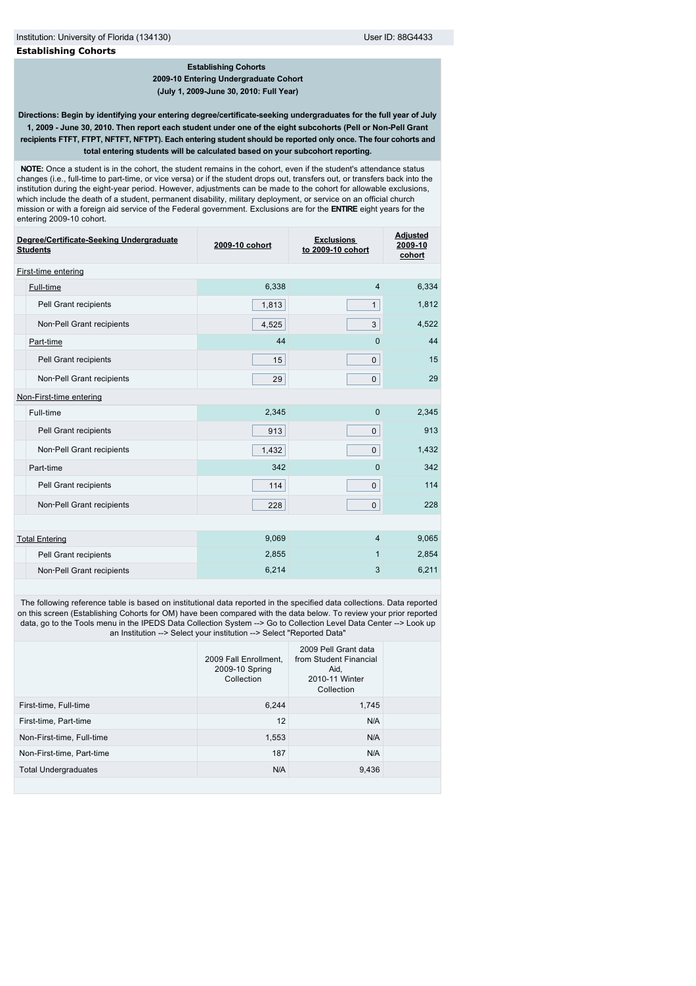**2009-10 Entering Undergraduate Cohort (July 1, 2009-June 30, 2010: Full Year)**

**Directions: Begin by identifying your entering degree/certificate-seeking undergraduates for the full year of July 1, 2009 - June 30, 2010. Then report each student under one of the eight subcohorts (Pell or Non-Pell Grant recipients FTFT, FTPT, NFTFT, NFTPT). Each entering student should be reported only once. The four cohorts and total entering students will be calculated based on your subcohort reporting.**

 **NOTE:** Once a student is in the cohort, the student remains in the cohort, even if the student's attendance status changes (i.e., full-time to part-time, or vice versa) or if the student drops out, transfers out, or transfers back into the institution during the eight-year period. However, adjustments can be made to the cohort for allowable exclusions, which include the death of a student, permanent disability, military deployment, or service on an official church mission or with a foreign aid service of the Federal government. Exclusions are for the **ENTIRE** eight years for the entering 2009-10 cohort.

| Degree/Certificate-Seeking Undergraduate<br><b>Students</b> | 2009-10 cohort | <b>Exclusions</b><br>to 2009-10 cohort | <b>Adjusted</b><br>2009-10<br>cohort |  |
|-------------------------------------------------------------|----------------|----------------------------------------|--------------------------------------|--|
| First-time entering                                         |                |                                        |                                      |  |
| Full-time                                                   | 6,338          | $\overline{4}$                         | 6,334                                |  |
| Pell Grant recipients                                       | 1,813          | $\mathbf{1}$                           | 1,812                                |  |
| Non-Pell Grant recipients                                   | 4,525          | 3                                      | 4,522                                |  |
| Part-time                                                   | 44             | $\Omega$                               | 44                                   |  |
| Pell Grant recipients                                       | 15             | $\mathbf{0}$                           | 15                                   |  |
| Non-Pell Grant recipients                                   | 29             | $\mathbf 0$                            | 29                                   |  |
| Non-First-time entering                                     |                |                                        |                                      |  |
| Full-time                                                   | 2,345          | $\mathbf{0}$                           | 2,345                                |  |
| Pell Grant recipients                                       | 913            | $\mathbf{0}$                           | 913                                  |  |
| Non-Pell Grant recipients                                   | 1,432          | $\mathbf{0}$                           | 1,432                                |  |
| Part-time                                                   | 342            | $\Omega$                               | 342                                  |  |
| Pell Grant recipients                                       | 114            | $\mathbf 0$                            | 114                                  |  |
| Non-Pell Grant recipients                                   | 228            | $\mathbf 0$                            | 228                                  |  |
|                                                             |                |                                        |                                      |  |
| <b>Total Entering</b>                                       | 9,069          | $\overline{4}$                         | 9,065                                |  |
| Pell Grant recipients                                       | 2,855          | $\mathbf{1}$                           | 2,854                                |  |
| Non-Pell Grant recipients                                   | 6,214          | 3                                      | 6,211                                |  |
|                                                             |                |                                        |                                      |  |

 The following reference table is based on institutional data reported in the specified data collections. Data reported on this screen (Establishing Cohorts for OM) have been compared with the data below. To review your prior reported data, go to the Tools menu in the IPEDS Data Collection System --> Go to Collection Level Data Center --> Look up an Institution --> Select your institution --> Select "Reported Data"

|                             | 2009 Fall Enrollment.<br>2009-10 Spring<br>Collection | 2009 Pell Grant data<br>from Student Financial<br>Aid,<br>2010-11 Winter<br>Collection |  |
|-----------------------------|-------------------------------------------------------|----------------------------------------------------------------------------------------|--|
| First-time, Full-time       | 6,244                                                 | 1,745                                                                                  |  |
| First-time, Part-time       | 12                                                    | N/A                                                                                    |  |
| Non-First-time, Full-time   | 1,553                                                 | N/A                                                                                    |  |
| Non-First-time, Part-time   | 187                                                   | N/A                                                                                    |  |
| <b>Total Undergraduates</b> | N/A                                                   | 9,436                                                                                  |  |
|                             |                                                       |                                                                                        |  |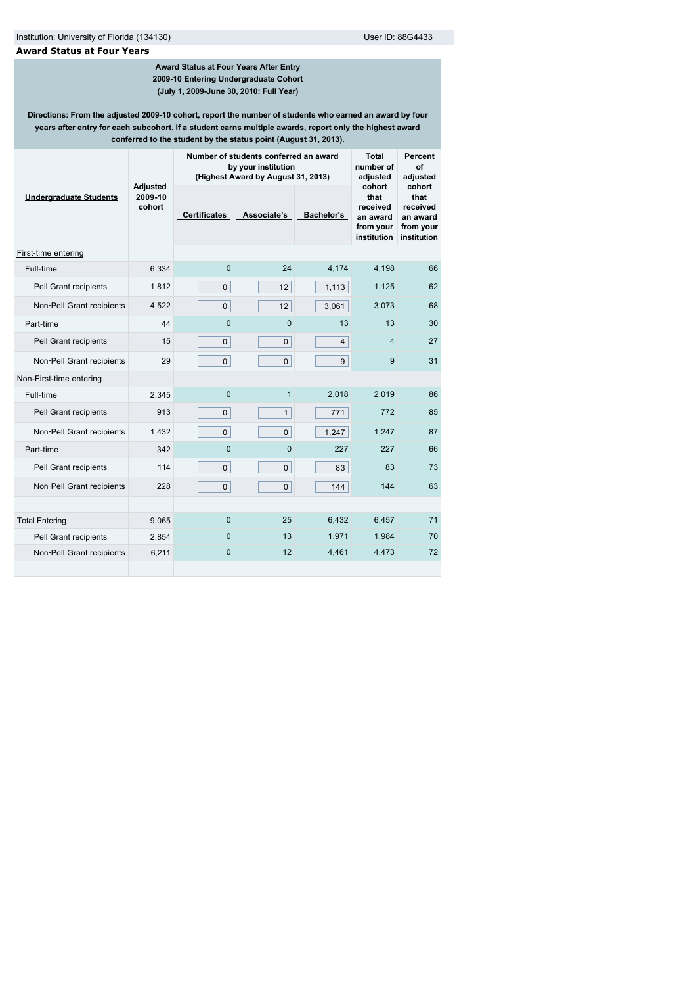## **Award Status at Four Years**

### **Award Status at Four Years After Entry 2009-10 Entering Undergraduate Cohort (July 1, 2009-June 30, 2010: Full Year)**

**Directions: From the adjusted 2009-10 cohort, report the number of students who earned an award by four years after entry for each subcohort. If a student earns multiple awards, report only the highest award conferred to the student by the status point (August 31, 2013).**

|                               |                               | Number of students conferred an award<br>by your institution<br>(Highest Award by August 31, 2013) | <b>Total</b><br>number of<br>adjusted | Percent<br>Ωf<br>adiusted |                                                                    |                                                                    |  |
|-------------------------------|-------------------------------|----------------------------------------------------------------------------------------------------|---------------------------------------|---------------------------|--------------------------------------------------------------------|--------------------------------------------------------------------|--|
| <b>Undergraduate Students</b> | Adjusted<br>2009-10<br>cohort | <b>Certificates</b>                                                                                | Associate's                           | <b>Bachelor's</b>         | cohort<br>that<br>received<br>an award<br>from your<br>institution | cohort<br>that<br>received<br>an award<br>from your<br>institution |  |
| First-time entering           |                               |                                                                                                    |                                       |                           |                                                                    |                                                                    |  |
| Full-time                     | 6,334                         | $\mathbf{0}$                                                                                       | 24                                    | 4,174                     | 4,198                                                              | 66                                                                 |  |
| Pell Grant recipients         | 1,812                         | $\mathbf 0$                                                                                        | 12                                    | 1,113                     | 1,125                                                              | 62                                                                 |  |
| Non-Pell Grant recipients     | 4,522                         | $\mathbf 0$                                                                                        | 12                                    | 3,061                     | 3,073                                                              | 68                                                                 |  |
| Part-time                     | 44                            | $\overline{0}$                                                                                     | $\overline{0}$                        | 13                        | 13                                                                 | 30                                                                 |  |
| Pell Grant recipients         | 15                            | $\mathsf{O}$                                                                                       | $\overline{0}$                        | $\overline{4}$            | 4                                                                  | 27                                                                 |  |
| Non-Pell Grant recipients     | 29                            | $\mathbf 0$                                                                                        | $\mathbf{0}$                          | 9                         | 9                                                                  | 31                                                                 |  |
| Non-First-time entering       |                               |                                                                                                    |                                       |                           |                                                                    |                                                                    |  |
| Full-time                     | 2,345                         | $\mathbf{0}$                                                                                       | $\mathbf{1}$                          | 2,018                     | 2,019                                                              | 86                                                                 |  |
| Pell Grant recipients         | 913                           | $\mathbf 0$                                                                                        | $\mathbf{1}$                          | 771                       | 772                                                                | 85                                                                 |  |
| Non-Pell Grant recipients     | 1,432                         | $\mathbf 0$                                                                                        | $\overline{0}$                        | 1,247                     | 1,247                                                              | 87                                                                 |  |
| Part-time                     | 342                           | $\overline{0}$                                                                                     | $\Omega$                              | 227                       | 227                                                                | 66                                                                 |  |
| Pell Grant recipients         | 114                           | $\mathbf 0$                                                                                        | $\mathbf 0$                           | 83                        | 83                                                                 | 73                                                                 |  |
| Non-Pell Grant recipients     | 228                           | $\mathbf 0$                                                                                        | $\overline{0}$                        | 144                       | 144                                                                | 63                                                                 |  |
|                               |                               |                                                                                                    |                                       |                           |                                                                    |                                                                    |  |
| <b>Total Entering</b>         | 9,065                         | $\mathbf{0}$                                                                                       | 25                                    | 6,432                     | 6,457                                                              | 71                                                                 |  |
| Pell Grant recipients         | 2,854                         | $\mathbf{0}$                                                                                       | 13                                    | 1,971                     | 1,984                                                              | 70                                                                 |  |
| Non-Pell Grant recipients     | 6,211                         | 0                                                                                                  | 12                                    | 4,461                     | 4,473                                                              | 72                                                                 |  |
|                               |                               |                                                                                                    |                                       |                           |                                                                    |                                                                    |  |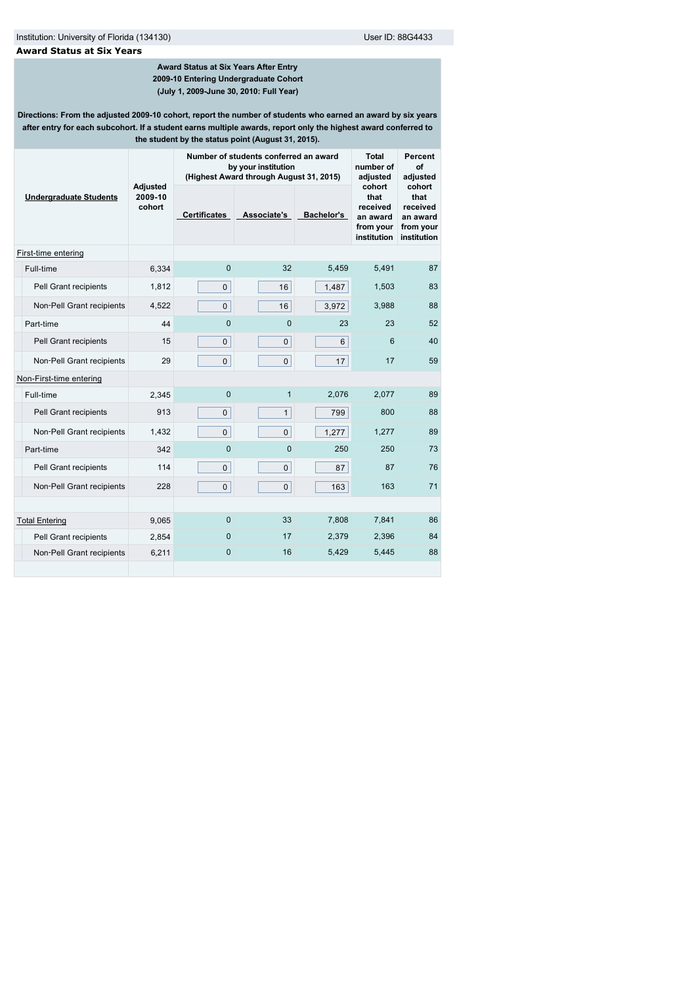## **Award Status at Six Years**

## **Award Status at Six Years After Entry 2009-10 Entering Undergraduate Cohort (July 1, 2009-June 30, 2010: Full Year)**

**Directions: From the adjusted 2009-10 cohort, report the number of students who earned an award by six years after entry for each subcohort. If a student earns multiple awards, report only the highest award conferred to the student by the status point (August 31, 2015).**

|                               |                                      | Number of students conferred an award<br>by your institution<br>(Highest Award through August 31, 2015) | <b>Total</b><br>number of<br>adjusted | Percent<br>Οf<br>adjusted |                                                                    |                                                                    |  |
|-------------------------------|--------------------------------------|---------------------------------------------------------------------------------------------------------|---------------------------------------|---------------------------|--------------------------------------------------------------------|--------------------------------------------------------------------|--|
| <b>Undergraduate Students</b> | <b>Adjusted</b><br>2009-10<br>cohort | <b>Certificates</b>                                                                                     | Associate's                           | <b>Bachelor's</b>         | cohort<br>that<br>received<br>an award<br>from your<br>institution | cohort<br>that<br>received<br>an award<br>from your<br>institution |  |
| First-time entering           |                                      |                                                                                                         |                                       |                           |                                                                    |                                                                    |  |
| Full-time                     | 6,334                                | $\mathbf 0$                                                                                             | 32                                    | 5,459                     | 5,491                                                              | 87                                                                 |  |
| Pell Grant recipients         | 1,812                                | $\mathbf{0}$                                                                                            | 16                                    | 1,487                     | 1,503                                                              | 83                                                                 |  |
| Non-Pell Grant recipients     | 4,522                                | $\overline{0}$                                                                                          | 16                                    | 3,972                     | 3,988                                                              | 88                                                                 |  |
| Part-time                     | 44                                   | $\Omega$                                                                                                | $\Omega$                              | 23                        | 23                                                                 | 52                                                                 |  |
| Pell Grant recipients         | 15                                   | $\mathbf 0$                                                                                             | $\mathbf 0$                           | 6                         | 6                                                                  | 40                                                                 |  |
| Non-Pell Grant recipients     | 29                                   | $\mathbf 0$                                                                                             | $\overline{0}$                        | 17                        | 17                                                                 | 59                                                                 |  |
| Non-First-time entering       |                                      |                                                                                                         |                                       |                           |                                                                    |                                                                    |  |
| Full-time                     | 2,345                                | 0                                                                                                       | $\mathbf{1}$                          | 2,076                     | 2,077                                                              | 89                                                                 |  |
| Pell Grant recipients         | 913                                  | $\mathbf 0$                                                                                             | $\mathbf{1}$                          | 799                       | 800                                                                | 88                                                                 |  |
| Non-Pell Grant recipients     | 1,432                                | $\mathbf 0$                                                                                             | $\mathbf 0$                           | 1,277                     | 1,277                                                              | 89                                                                 |  |
| Part-time                     | 342                                  | $\overline{0}$                                                                                          | $\Omega$                              | 250                       | 250                                                                | 73                                                                 |  |
| Pell Grant recipients         | 114                                  | $\mathbf 0$                                                                                             | $\mathbf 0$                           | 87                        | 87                                                                 | 76                                                                 |  |
| Non-Pell Grant recipients     | 228                                  | $\mathbf 0$                                                                                             | $\mathbf 0$                           | 163                       | 163                                                                | 71                                                                 |  |
|                               |                                      |                                                                                                         |                                       |                           |                                                                    |                                                                    |  |
| <b>Total Entering</b>         | 9,065                                | $\mathbf{0}$                                                                                            | 33                                    | 7,808                     | 7,841                                                              | 86                                                                 |  |
| Pell Grant recipients         | 2,854                                | $\mathbf{0}$                                                                                            | 17                                    | 2,379                     | 2,396                                                              | 84                                                                 |  |
| Non-Pell Grant recipients     | 6,211                                | 0                                                                                                       | 16                                    | 5,429                     | 5,445                                                              | 88                                                                 |  |
|                               |                                      |                                                                                                         |                                       |                           |                                                                    |                                                                    |  |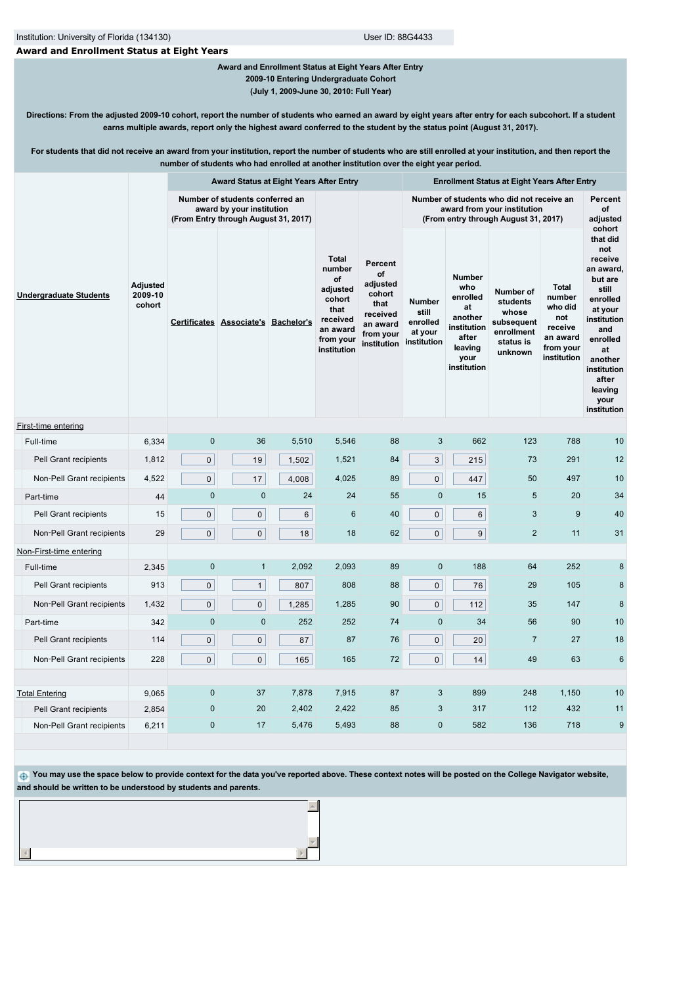# **Award and Enrollment Status at Eight Years**

# **Award and Enrollment Status at Eight Years After Entry 2009-10 Entering Undergraduate Cohort**

**(July 1, 2009-June 30, 2010: Full Year)**

**Directions: From the adjusted 2009-10 cohort, report the number of students who earned an award by eight years after entry for each subcohort. If a student earns multiple awards, report only the highest award conferred to the student by the status point (August 31, 2017).**

**For students that did not receive an award from your institution, report the number of students who are still enrolled at your institution, and then report the number of students who had enrolled at another institution over the eight year period.**

|                               |                                      | Award Status at Eight Years After Entry                                                              |                                     |                |                                                                                                                |                                                                                                 | <b>Enrollment Status at Eight Years After Entry</b>                                                              |                                                                                                             |                                                                                    |                                                                                             |                                                                                                                                                                                                           |
|-------------------------------|--------------------------------------|------------------------------------------------------------------------------------------------------|-------------------------------------|----------------|----------------------------------------------------------------------------------------------------------------|-------------------------------------------------------------------------------------------------|------------------------------------------------------------------------------------------------------------------|-------------------------------------------------------------------------------------------------------------|------------------------------------------------------------------------------------|---------------------------------------------------------------------------------------------|-----------------------------------------------------------------------------------------------------------------------------------------------------------------------------------------------------------|
| <b>Undergraduate Students</b> |                                      | Number of students conferred an<br>award by your institution<br>(From Entry through August 31, 2017) |                                     |                |                                                                                                                |                                                                                                 | Number of students who did not receive an<br>award from your institution<br>(From entry through August 31, 2017) |                                                                                                             |                                                                                    |                                                                                             | Percent<br>of<br>adjusted                                                                                                                                                                                 |
|                               | <b>Adjusted</b><br>2009-10<br>cohort |                                                                                                      | Certificates Associate's Bachelor's |                | <b>Total</b><br>number<br>of<br>adjusted<br>cohort<br>that<br>received<br>an award<br>from your<br>institution | Percent<br>of<br>adjusted<br>cohort<br>that<br>received<br>an award<br>from your<br>institution | Number<br>still<br>enrolled<br>at your<br>institution                                                            | <b>Number</b><br>who<br>enrolled<br>at<br>another<br>institution<br>after<br>leaving<br>your<br>institution | Number of<br>students<br>whose<br>subsequent<br>enrollment<br>status is<br>unknown | <b>Total</b><br>number<br>who did<br>not<br>receive<br>an award<br>from your<br>institution | cohort<br>that did<br>not<br>receive<br>an award,<br>but are<br>still<br>enrolled<br>at your<br>institution<br>and<br>enrolled<br>at<br>another<br>institution<br>after<br>leaving<br>your<br>institution |
| First-time entering           |                                      |                                                                                                      |                                     |                |                                                                                                                |                                                                                                 |                                                                                                                  |                                                                                                             |                                                                                    |                                                                                             |                                                                                                                                                                                                           |
| Full-time                     | 6,334                                | $\mathbf 0$                                                                                          | 36                                  | 5,510          | 5,546                                                                                                          | 88                                                                                              | 3                                                                                                                | 662                                                                                                         | 123                                                                                | 788                                                                                         | 10                                                                                                                                                                                                        |
| Pell Grant recipients         | 1,812                                | $\mathsf{O}$                                                                                         | 19                                  | 1,502          | 1,521                                                                                                          | 84                                                                                              | 3                                                                                                                | 215                                                                                                         | 73                                                                                 | 291                                                                                         | 12                                                                                                                                                                                                        |
| Non-Pell Grant recipients     | 4,522                                | $\mathbf 0$                                                                                          | 17                                  | 4,008          | 4,025                                                                                                          | 89                                                                                              | 0                                                                                                                | 447                                                                                                         | 50                                                                                 | 497                                                                                         | 10                                                                                                                                                                                                        |
| Part-time                     | 44                                   | $\mathbf 0$                                                                                          | $\mathbf 0$                         | 24             | 24                                                                                                             | 55                                                                                              | $\mathbf{0}$                                                                                                     | 15                                                                                                          | 5                                                                                  | 20                                                                                          | 34                                                                                                                                                                                                        |
| Pell Grant recipients         | 15                                   | $\mathbf 0$                                                                                          | $\pmb{0}$                           | $6\phantom{1}$ | 6                                                                                                              | 40                                                                                              | 0                                                                                                                | 6                                                                                                           | 3                                                                                  | 9                                                                                           | 40                                                                                                                                                                                                        |
| Non-Pell Grant recipients     | 29                                   | $\mathbf 0$                                                                                          | 0                                   | 18             | 18                                                                                                             | 62                                                                                              | 0                                                                                                                | 9                                                                                                           | $\overline{2}$                                                                     | 11                                                                                          | 31                                                                                                                                                                                                        |
| Non-First-time entering       |                                      |                                                                                                      |                                     |                |                                                                                                                |                                                                                                 |                                                                                                                  |                                                                                                             |                                                                                    |                                                                                             |                                                                                                                                                                                                           |
| Full-time                     | 2,345                                | $\mathbf 0$                                                                                          | $\mathbf{1}$                        | 2,092          | 2,093                                                                                                          | 89                                                                                              | $\pmb{0}$                                                                                                        | 188                                                                                                         | 64                                                                                 | 252                                                                                         | 8                                                                                                                                                                                                         |
| Pell Grant recipients         | 913                                  | $\mathbf{0}$                                                                                         | $\mathbf{1}$                        | 807            | 808                                                                                                            | 88                                                                                              | 0                                                                                                                | 76                                                                                                          | 29                                                                                 | 105                                                                                         | 8                                                                                                                                                                                                         |
| Non-Pell Grant recipients     | 1,432                                | $\mathbf{0}$                                                                                         | $\mathsf{O}$                        | 1,285          | 1,285                                                                                                          | 90                                                                                              | $\overline{0}$                                                                                                   | 112                                                                                                         | 35                                                                                 | 147                                                                                         | 8                                                                                                                                                                                                         |
| Part-time                     | 342                                  | $\mathbf 0$                                                                                          | $\mathbf 0$                         | 252            | 252                                                                                                            | 74                                                                                              | $\mathbf 0$                                                                                                      | 34                                                                                                          | 56                                                                                 | 90                                                                                          | 10                                                                                                                                                                                                        |
| Pell Grant recipients         | 114                                  | $\mathbf 0$                                                                                          | $\mathbf 0$                         | 87             | 87                                                                                                             | 76                                                                                              | 0                                                                                                                | 20                                                                                                          | $\overline{7}$                                                                     | 27                                                                                          | 18                                                                                                                                                                                                        |
| Non-Pell Grant recipients     | 228                                  | $\mathbf{0}$                                                                                         | $\mathsf{O}$                        | 165            | 165                                                                                                            | 72                                                                                              | $\overline{0}$                                                                                                   | 14                                                                                                          | 49                                                                                 | 63                                                                                          | $6\phantom{1}6$                                                                                                                                                                                           |
| <b>Total Entering</b>         | 9,065                                | $\mathbf 0$                                                                                          | 37                                  | 7,878          | 7,915                                                                                                          | 87                                                                                              | 3                                                                                                                | 899                                                                                                         | 248                                                                                | 1,150                                                                                       | 10                                                                                                                                                                                                        |
| Pell Grant recipients         | 2,854                                | $\pmb{0}$                                                                                            | 20                                  | 2,402          | 2,422                                                                                                          | 85                                                                                              | 3                                                                                                                | 317                                                                                                         | 112                                                                                | 432                                                                                         | 11                                                                                                                                                                                                        |
| Non-Pell Grant recipients     | 6,211                                | $\mathbf 0$                                                                                          | 17                                  | 5,476          | 5,493                                                                                                          | 88                                                                                              | $\mathbf{0}$                                                                                                     | 582                                                                                                         | 136                                                                                | 718                                                                                         | 9                                                                                                                                                                                                         |
|                               |                                      |                                                                                                      |                                     |                |                                                                                                                |                                                                                                 |                                                                                                                  |                                                                                                             |                                                                                    |                                                                                             |                                                                                                                                                                                                           |

 **You may use the space below to provide context for the data you've reported above. These context notes will be posted on the College Navigator website, and should be written to be understood by students and parents.**

**A**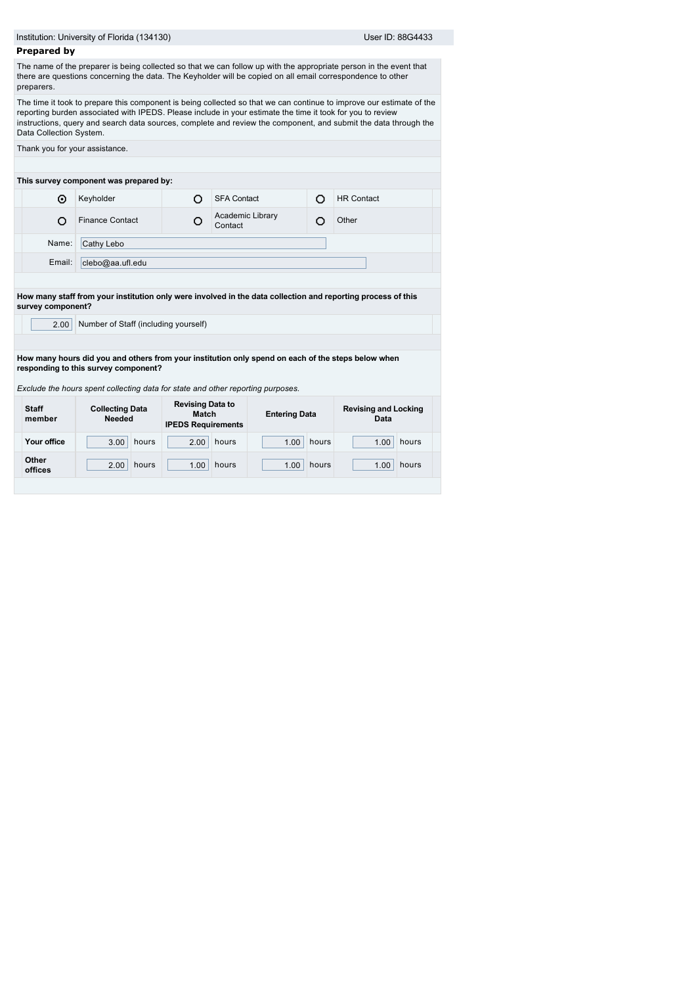|                         | Institution: University of Florida (134130)                                                                                                                                                                                   |                                                               |                             |                      |       | User ID: 88G4433                                                                                                                                                                                                                        |
|-------------------------|-------------------------------------------------------------------------------------------------------------------------------------------------------------------------------------------------------------------------------|---------------------------------------------------------------|-----------------------------|----------------------|-------|-----------------------------------------------------------------------------------------------------------------------------------------------------------------------------------------------------------------------------------------|
| <b>Prepared by</b>      |                                                                                                                                                                                                                               |                                                               |                             |                      |       |                                                                                                                                                                                                                                         |
| preparers.              |                                                                                                                                                                                                                               |                                                               |                             |                      |       | The name of the preparer is being collected so that we can follow up with the appropriate person in the event that<br>there are questions concerning the data. The Keyholder will be copied on all email correspondence to other        |
| Data Collection System. | reporting burden associated with IPEDS. Please include in your estimate the time it took for you to review                                                                                                                    |                                                               |                             |                      |       | The time it took to prepare this component is being collected so that we can continue to improve our estimate of the<br>instructions, query and search data sources, complete and review the component, and submit the data through the |
|                         | Thank you for your assistance.                                                                                                                                                                                                |                                                               |                             |                      |       |                                                                                                                                                                                                                                         |
|                         |                                                                                                                                                                                                                               |                                                               |                             |                      |       |                                                                                                                                                                                                                                         |
|                         | This survey component was prepared by:                                                                                                                                                                                        |                                                               |                             |                      |       |                                                                                                                                                                                                                                         |
| ⊙                       | Keyholder                                                                                                                                                                                                                     | O                                                             | <b>SFA Contact</b>          |                      | O     | <b>HR Contact</b>                                                                                                                                                                                                                       |
| O                       | <b>Finance Contact</b>                                                                                                                                                                                                        | O                                                             | Academic Library<br>Contact |                      | O     | Other                                                                                                                                                                                                                                   |
| Name:                   | Cathy Lebo                                                                                                                                                                                                                    |                                                               |                             |                      |       |                                                                                                                                                                                                                                         |
| Email:                  | clebo@aa.ufl.edu                                                                                                                                                                                                              |                                                               |                             |                      |       |                                                                                                                                                                                                                                         |
|                         |                                                                                                                                                                                                                               |                                                               |                             |                      |       | How many staff from your institution only were involved in the data collection and reporting process of this                                                                                                                            |
| survey component?       |                                                                                                                                                                                                                               |                                                               |                             |                      |       |                                                                                                                                                                                                                                         |
| 2.00                    | Number of Staff (including yourself)                                                                                                                                                                                          |                                                               |                             |                      |       |                                                                                                                                                                                                                                         |
|                         |                                                                                                                                                                                                                               |                                                               |                             |                      |       |                                                                                                                                                                                                                                         |
|                         | How many hours did you and others from your institution only spend on each of the steps below when<br>responding to this survey component?<br>Exclude the hours spent collecting data for state and other reporting purposes. |                                                               |                             |                      |       |                                                                                                                                                                                                                                         |
| <b>Staff</b>            | <b>Collecting Data</b><br><b>Needed</b>                                                                                                                                                                                       | <b>Revising Data to</b><br>Match<br><b>IPEDS Requirements</b> |                             | <b>Entering Data</b> |       | <b>Revising and Locking</b><br>Data                                                                                                                                                                                                     |
| member                  |                                                                                                                                                                                                                               |                                                               |                             | 1.00                 | hours | hours<br>1.00                                                                                                                                                                                                                           |
| Your office             | hours<br>3.00                                                                                                                                                                                                                 | 2.00                                                          | hours                       |                      |       |                                                                                                                                                                                                                                         |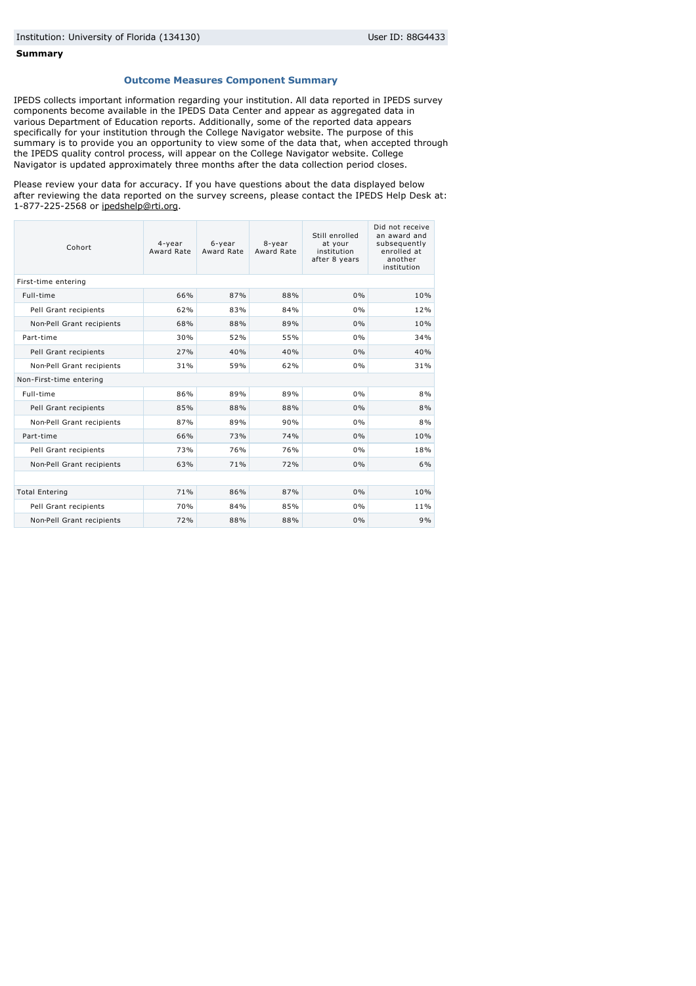#### **Summary**

#### **Outcome Measures Component Summary**

IPEDS collects important information regarding your institution. All data reported in IPEDS survey components become available in the IPEDS Data Center and appear as aggregated data in various Department of Education reports. Additionally, some of the reported data appears specifically for your institution through the College Navigator website. The purpose of this summary is to provide you an opportunity to view some of the data that, when accepted through the IPEDS quality control process, will appear on the College Navigator website. College Navigator is updated approximately three months after the data collection period closes.

Please review your data for accuracy. If you have questions about the data displayed below after reviewing the data reported on the survey screens, please contact the IPEDS Help Desk at: 1-877-225-2568 or [ipedshelp@rti.org](mailto:ipedshelp@rti.org).

| Cohort                    | 4-year<br>Award Rate | 6-year<br>Award Rate | 8-year<br>Award Rate | Still enrolled<br>at your<br>institution<br>after 8 years | Did not receive<br>an award and<br>subsequently<br>enrolled at<br>another<br>institution |
|---------------------------|----------------------|----------------------|----------------------|-----------------------------------------------------------|------------------------------------------------------------------------------------------|
| First-time entering       |                      |                      |                      |                                                           |                                                                                          |
| Full-time                 | 66%                  | 87%                  | 88%                  | 0%                                                        | 10%                                                                                      |
| Pell Grant recipients     | 62%                  | 83%                  | 84%                  | 0%                                                        | 12%                                                                                      |
| Non-Pell Grant recipients | 68%                  | 88%                  | 89%                  | 0%                                                        | 10%                                                                                      |
| Part-time                 | 30%                  | 52%                  | 55%                  | 0%                                                        | 34%                                                                                      |
| Pell Grant recipients     | 27%                  | 40%                  | 40%                  | 0%                                                        | 40%                                                                                      |
| Non-Pell Grant recipients | 31%                  | 59%                  | 62%                  | 0%                                                        | 31%                                                                                      |
| Non-First-time entering   |                      |                      |                      |                                                           |                                                                                          |
| Full-time                 | 86%                  | 89%                  | 89%                  | 0%                                                        | 8%                                                                                       |
| Pell Grant recipients     | 85%                  | 88%                  | 88%                  | 0%                                                        | 8%                                                                                       |
| Non-Pell Grant recipients | 87%                  | 89%                  | 90%                  | 0%                                                        | 8%                                                                                       |
| Part-time                 | 66%                  | 73%                  | 74%                  | 0%                                                        | 10%                                                                                      |
| Pell Grant recipients     | 73%                  | 76%                  | 76%                  | 0%                                                        | 18%                                                                                      |
| Non-Pell Grant recipients | 63%                  | 71%                  | 72%                  | 0%                                                        | 6%                                                                                       |
|                           |                      |                      |                      |                                                           |                                                                                          |
| <b>Total Entering</b>     | 71%                  | 86%                  | 87%                  | 0%                                                        | 10%                                                                                      |
| Pell Grant recipients     | 70%                  | 84%                  | 85%                  | 0%                                                        | 11%                                                                                      |
| Non-Pell Grant recipients | 72%                  | 88%                  | 88%                  | 0%                                                        | 9%                                                                                       |